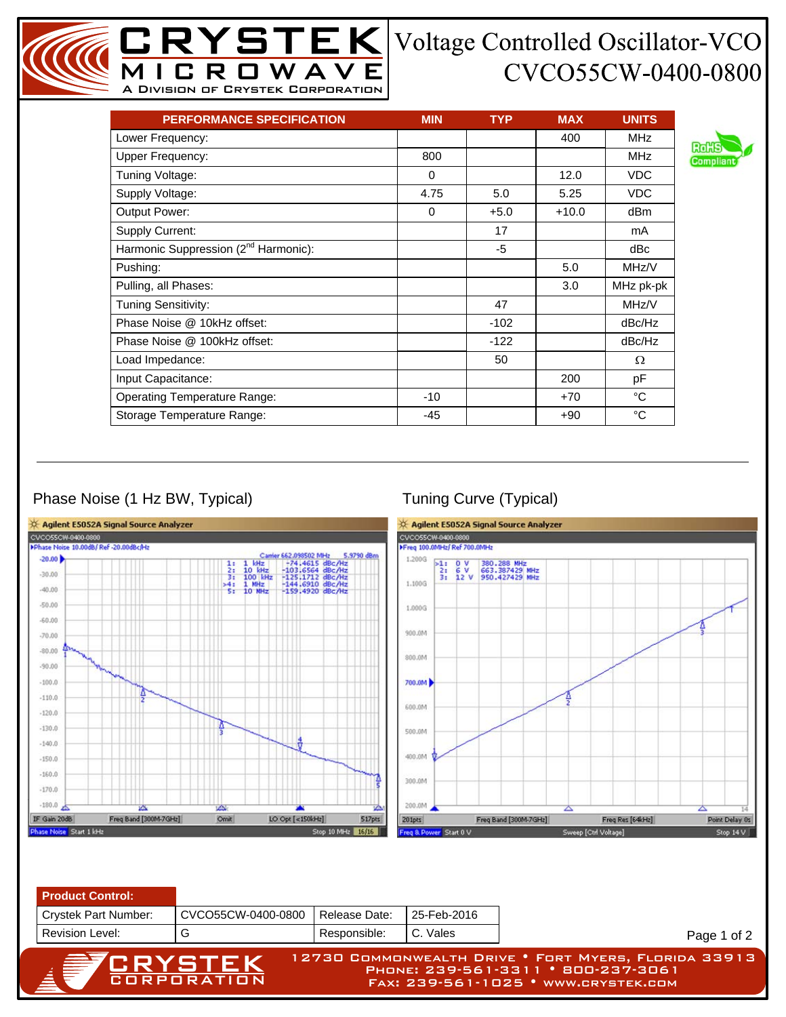## CVCO55CW-0400-0800

| <b>PERFORMANCE SPECIFICATION</b>                 | <b>MIN</b> | <b>TYP</b> | <b>MAX</b> | <b>UNITS</b> |
|--------------------------------------------------|------------|------------|------------|--------------|
| Lower Frequency:                                 |            |            | 400        | <b>MHz</b>   |
| <b>Upper Frequency:</b>                          | 800        |            |            | <b>MHz</b>   |
| Tuning Voltage:                                  | $\Omega$   |            | 12.0       | <b>VDC</b>   |
| Supply Voltage:                                  | 4.75       | 5.0        | 5.25       | <b>VDC</b>   |
| Output Power:                                    | $\Omega$   | $+5.0$     | $+10.0$    | dBm          |
| Supply Current:                                  |            | 17         |            | mA           |
| Harmonic Suppression (2 <sup>nd</sup> Harmonic): |            | -5         |            | dBc          |
| Pushing:                                         |            |            | 5.0        | MHz/V        |
| Pulling, all Phases:                             |            |            | 3.0        | MHz pk-pk    |
| <b>Tuning Sensitivity:</b>                       |            | 47         |            | MHz/V        |
| Phase Noise @ 10kHz offset:                      |            | $-102$     |            | dBc/Hz       |
| Phase Noise @ 100kHz offset:                     |            | $-122$     |            | dBc/Hz       |
| Load Impedance:                                  |            | 50         |            | Ω            |
| Input Capacitance:                               |            |            | 200        | рF           |
| <b>Operating Temperature Range:</b>              | $-10$      |            | $+70$      | °C           |
| Storage Temperature Range:                       | $-45$      |            | +90        | °C           |

MICROWAVE A Division of Crystek Corporation

## Phase Noise (1 Hz BW, Typical) Tuning Curve (Typical)





Page 1 of 2

Phone: 239-561-3311 • 800-237-3061 Fax: 239-561-1025 • www.crystek.com